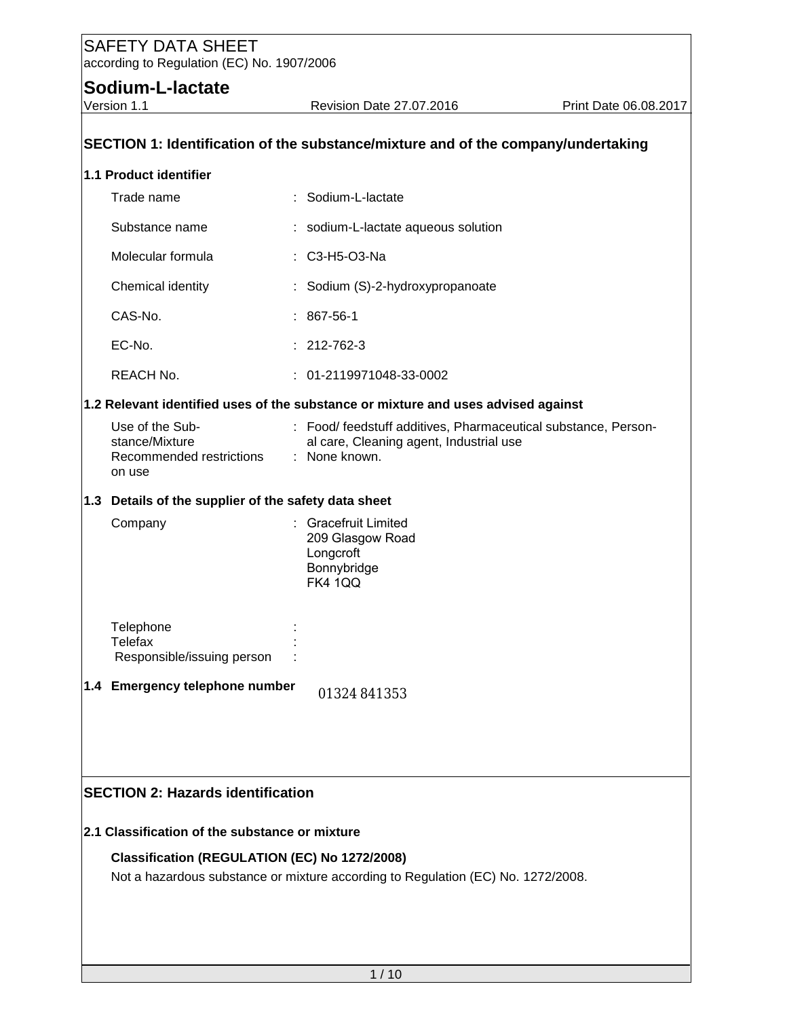## **Sodium-L-lactate**

| SECTION 1: Identification of the substance/mixture and of the company/undertaking                                                 |  |                                                                                                                            |  |  |  |  |
|-----------------------------------------------------------------------------------------------------------------------------------|--|----------------------------------------------------------------------------------------------------------------------------|--|--|--|--|
| 1.1 Product identifier                                                                                                            |  |                                                                                                                            |  |  |  |  |
| Trade name                                                                                                                        |  | : Sodium-L-lactate                                                                                                         |  |  |  |  |
| Substance name                                                                                                                    |  | : sodium-L-lactate aqueous solution                                                                                        |  |  |  |  |
| Molecular formula                                                                                                                 |  | : C3-H5-O3-Na                                                                                                              |  |  |  |  |
| Chemical identity                                                                                                                 |  | Sodium (S)-2-hydroxypropanoate                                                                                             |  |  |  |  |
| CAS-No.                                                                                                                           |  | $: 867 - 56 - 1$                                                                                                           |  |  |  |  |
| EC-No.                                                                                                                            |  | $: 212 - 762 - 3$                                                                                                          |  |  |  |  |
| REACH No.                                                                                                                         |  | : 01-2119971048-33-0002                                                                                                    |  |  |  |  |
|                                                                                                                                   |  | 1.2 Relevant identified uses of the substance or mixture and uses advised against                                          |  |  |  |  |
| Use of the Sub-<br>stance/Mixture<br>Recommended restrictions<br>on use                                                           |  | : Food/ feedstuff additives, Pharmaceutical substance, Person-<br>al care, Cleaning agent, Industrial use<br>: None known. |  |  |  |  |
| 1.3 Details of the supplier of the safety data sheet                                                                              |  |                                                                                                                            |  |  |  |  |
| Company                                                                                                                           |  | : Gracefruit Limited<br>209 Glasgow Road<br>Longcroft<br>Bonnybridge<br><b>FK4 1QQ</b>                                     |  |  |  |  |
| Telephone<br>Telefax<br>Responsible/issuing person                                                                                |  |                                                                                                                            |  |  |  |  |
| 1.4 Emergency telephone number                                                                                                    |  | 01324 841353                                                                                                               |  |  |  |  |
|                                                                                                                                   |  |                                                                                                                            |  |  |  |  |
| <b>SECTION 2: Hazards identification</b>                                                                                          |  |                                                                                                                            |  |  |  |  |
| 2.1 Classification of the substance or mixture                                                                                    |  |                                                                                                                            |  |  |  |  |
| Classification (REGULATION (EC) No 1272/2008)<br>Not a hazardous substance or mixture according to Regulation (EC) No. 1272/2008. |  |                                                                                                                            |  |  |  |  |
|                                                                                                                                   |  |                                                                                                                            |  |  |  |  |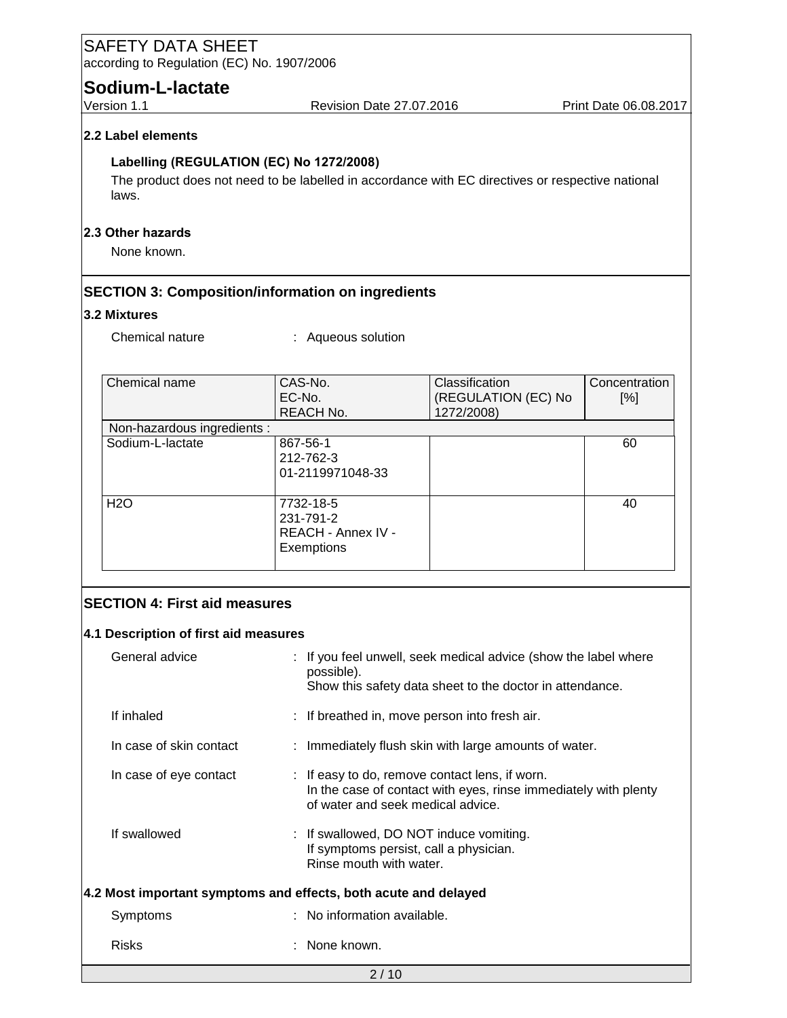| <b>SAFETY DATA SHEET</b><br>according to Regulation (EC) No. 1907/2006 |                                                                                                                                         |                                                                 |                      |  |
|------------------------------------------------------------------------|-----------------------------------------------------------------------------------------------------------------------------------------|-----------------------------------------------------------------|----------------------|--|
| Sodium-L-lactate                                                       |                                                                                                                                         |                                                                 |                      |  |
| Version 1.1                                                            | Revision Date 27.07.2016                                                                                                                | Print Date 06.08.2017                                           |                      |  |
| 2.2 Label elements                                                     |                                                                                                                                         |                                                                 |                      |  |
| Labelling (REGULATION (EC) No 1272/2008)<br>laws.                      | The product does not need to be labelled in accordance with EC directives or respective national                                        |                                                                 |                      |  |
| 2.3 Other hazards<br>None known.                                       |                                                                                                                                         |                                                                 |                      |  |
| 3.2 Mixtures                                                           | <b>SECTION 3: Composition/information on ingredients</b>                                                                                |                                                                 |                      |  |
| Chemical nature                                                        | : Aqueous solution                                                                                                                      |                                                                 |                      |  |
| Chemical name                                                          | CAS-No.<br>EC-No.<br>REACH No.                                                                                                          | Classification<br>(REGULATION (EC) No<br>1272/2008)             | Concentration<br>[%] |  |
| Non-hazardous ingredients :                                            |                                                                                                                                         |                                                                 |                      |  |
| Sodium-L-lactate                                                       | 867-56-1<br>212-762-3<br>01-2119971048-33                                                                                               |                                                                 | 60                   |  |
| <b>H2O</b>                                                             | 7732-18-5<br>231-791-2<br>REACH - Annex IV -<br>Exemptions                                                                              |                                                                 | 40                   |  |
| <b>SECTION 4: First aid measures</b>                                   |                                                                                                                                         |                                                                 |                      |  |
| 4.1 Description of first aid measures                                  |                                                                                                                                         |                                                                 |                      |  |
| General advice                                                         | If you feel unwell, seek medical advice (show the label where<br>possible).<br>Show this safety data sheet to the doctor in attendance. |                                                                 |                      |  |
| If inhaled                                                             | If breathed in, move person into fresh air.                                                                                             |                                                                 |                      |  |
| In case of skin contact                                                |                                                                                                                                         | : Immediately flush skin with large amounts of water.           |                      |  |
| In case of eye contact                                                 | : If easy to do, remove contact lens, if worn.<br>of water and seek medical advice.                                                     | In the case of contact with eyes, rinse immediately with plenty |                      |  |
| If swallowed                                                           | If swallowed, DO NOT induce vomiting.<br>If symptoms persist, call a physician.<br>Rinse mouth with water.                              |                                                                 |                      |  |
| 4.2 Most important symptoms and effects, both acute and delayed        |                                                                                                                                         |                                                                 |                      |  |
| Symptoms                                                               | No information available.                                                                                                               |                                                                 |                      |  |
| <b>Risks</b>                                                           | None known.                                                                                                                             |                                                                 |                      |  |
|                                                                        | 2/10                                                                                                                                    |                                                                 |                      |  |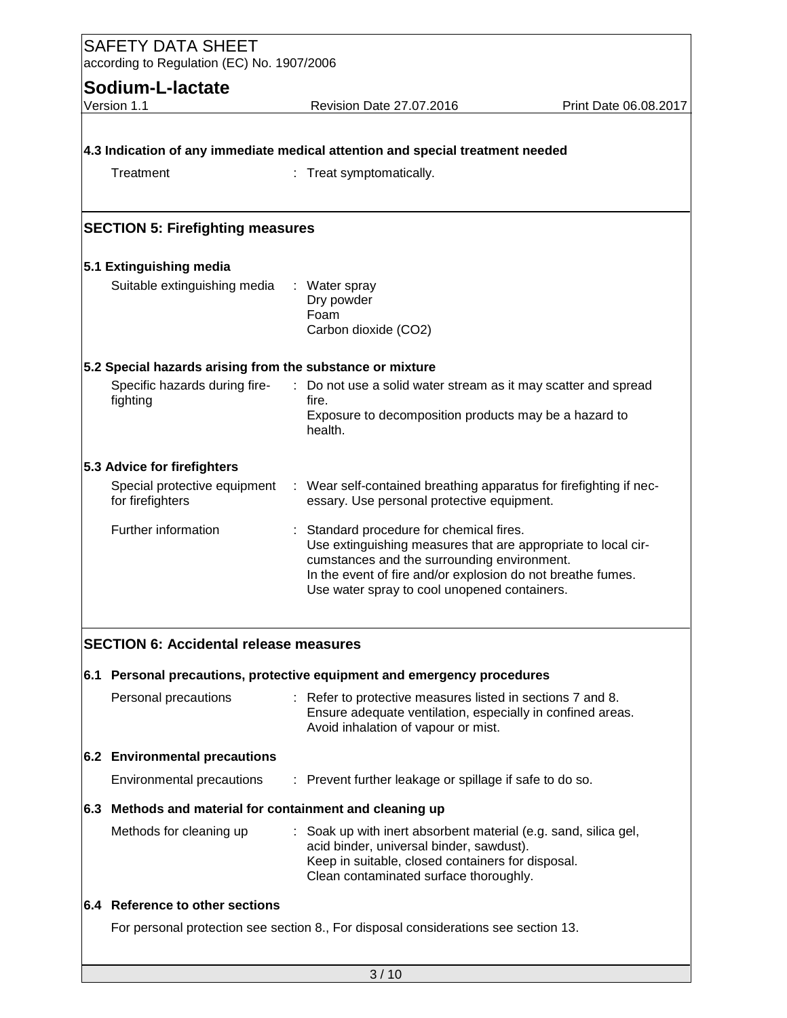| <b>SAFETY DATA SHEET</b><br>according to Regulation (EC) No. 1907/2006 |                                                                                                                          |  |  |  |  |
|------------------------------------------------------------------------|--------------------------------------------------------------------------------------------------------------------------|--|--|--|--|
| Sodium-L-lactate                                                       |                                                                                                                          |  |  |  |  |
| Version 1.1                                                            | Revision Date 27.07.2016<br>Print Date 06.08.2017                                                                        |  |  |  |  |
|                                                                        |                                                                                                                          |  |  |  |  |
|                                                                        | 4.3 Indication of any immediate medical attention and special treatment needed                                           |  |  |  |  |
| Treatment                                                              | Treat symptomatically.                                                                                                   |  |  |  |  |
|                                                                        |                                                                                                                          |  |  |  |  |
|                                                                        |                                                                                                                          |  |  |  |  |
| <b>SECTION 5: Firefighting measures</b>                                |                                                                                                                          |  |  |  |  |
| 5.1 Extinguishing media                                                |                                                                                                                          |  |  |  |  |
| Suitable extinguishing media                                           | : Water spray                                                                                                            |  |  |  |  |
|                                                                        | Dry powder                                                                                                               |  |  |  |  |
|                                                                        | Foam<br>Carbon dioxide (CO2)                                                                                             |  |  |  |  |
|                                                                        |                                                                                                                          |  |  |  |  |
|                                                                        | 5.2 Special hazards arising from the substance or mixture                                                                |  |  |  |  |
| Specific hazards during fire-<br>fighting                              | : Do not use a solid water stream as it may scatter and spread<br>fire.                                                  |  |  |  |  |
|                                                                        | Exposure to decomposition products may be a hazard to                                                                    |  |  |  |  |
|                                                                        | health.                                                                                                                  |  |  |  |  |
| 5.3 Advice for firefighters                                            |                                                                                                                          |  |  |  |  |
| Special protective equipment                                           | : Wear self-contained breathing apparatus for firefighting if nec-                                                       |  |  |  |  |
| for firefighters                                                       | essary. Use personal protective equipment.                                                                               |  |  |  |  |
| Further information                                                    | : Standard procedure for chemical fires.                                                                                 |  |  |  |  |
|                                                                        | Use extinguishing measures that are appropriate to local cir-                                                            |  |  |  |  |
|                                                                        | cumstances and the surrounding environment.<br>In the event of fire and/or explosion do not breathe fumes.               |  |  |  |  |
|                                                                        | Use water spray to cool unopened containers.                                                                             |  |  |  |  |
|                                                                        |                                                                                                                          |  |  |  |  |
| <b>SECTION 6: Accidental release measures</b>                          |                                                                                                                          |  |  |  |  |
|                                                                        |                                                                                                                          |  |  |  |  |
|                                                                        | 6.1 Personal precautions, protective equipment and emergency procedures                                                  |  |  |  |  |
| Personal precautions                                                   | : Refer to protective measures listed in sections 7 and 8.<br>Ensure adequate ventilation, especially in confined areas. |  |  |  |  |
|                                                                        | Avoid inhalation of vapour or mist.                                                                                      |  |  |  |  |
| 6.2 Environmental precautions                                          |                                                                                                                          |  |  |  |  |
| Environmental precautions                                              | : Prevent further leakage or spillage if safe to do so.                                                                  |  |  |  |  |
|                                                                        |                                                                                                                          |  |  |  |  |
|                                                                        | 6.3 Methods and material for containment and cleaning up                                                                 |  |  |  |  |
| Methods for cleaning up                                                | : Soak up with inert absorbent material (e.g. sand, silica gel,<br>acid binder, universal binder, sawdust).              |  |  |  |  |
|                                                                        | Keep in suitable, closed containers for disposal.                                                                        |  |  |  |  |
|                                                                        | Clean contaminated surface thoroughly.                                                                                   |  |  |  |  |
| 6.4 Reference to other sections                                        |                                                                                                                          |  |  |  |  |
|                                                                        | For personal protection see section 8., For disposal considerations see section 13.                                      |  |  |  |  |
|                                                                        |                                                                                                                          |  |  |  |  |
|                                                                        | 3/10                                                                                                                     |  |  |  |  |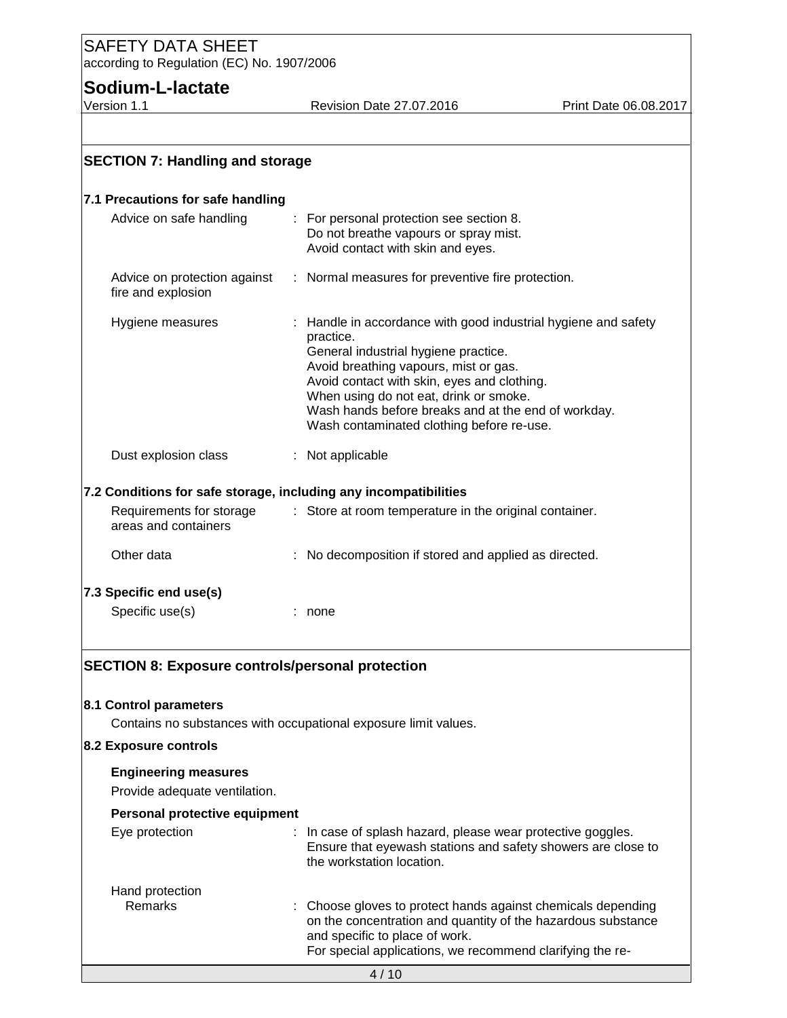# **Sodium-L-lactate**<br>Version 1.1

Revision Date 27.07.2016 Print Date 06.08.2017

| <b>SECTION 7: Handling and storage</b>                                                                     |                                                                                                                                                                                                                                                                                                                                                         |
|------------------------------------------------------------------------------------------------------------|---------------------------------------------------------------------------------------------------------------------------------------------------------------------------------------------------------------------------------------------------------------------------------------------------------------------------------------------------------|
| 7.1 Precautions for safe handling                                                                          |                                                                                                                                                                                                                                                                                                                                                         |
| Advice on safe handling                                                                                    | For personal protection see section 8.<br>Do not breathe vapours or spray mist.<br>Avoid contact with skin and eyes.                                                                                                                                                                                                                                    |
| Advice on protection against<br>fire and explosion                                                         | : Normal measures for preventive fire protection.                                                                                                                                                                                                                                                                                                       |
| Hygiene measures                                                                                           | Handle in accordance with good industrial hygiene and safety<br>practice.<br>General industrial hygiene practice.<br>Avoid breathing vapours, mist or gas.<br>Avoid contact with skin, eyes and clothing.<br>When using do not eat, drink or smoke.<br>Wash hands before breaks and at the end of workday.<br>Wash contaminated clothing before re-use. |
| Dust explosion class                                                                                       | : Not applicable                                                                                                                                                                                                                                                                                                                                        |
| 7.2 Conditions for safe storage, including any incompatibilities                                           |                                                                                                                                                                                                                                                                                                                                                         |
| Requirements for storage<br>areas and containers                                                           | : Store at room temperature in the original container.                                                                                                                                                                                                                                                                                                  |
| Other data                                                                                                 | No decomposition if stored and applied as directed.                                                                                                                                                                                                                                                                                                     |
| 7.3 Specific end use(s)                                                                                    |                                                                                                                                                                                                                                                                                                                                                         |
| Specific use(s)                                                                                            | : none                                                                                                                                                                                                                                                                                                                                                  |
| <b>SECTION 8: Exposure controls/personal protection</b><br>8.1 Control parameters<br>8.2 Exposure controls | Contains no substances with occupational exposure limit values.                                                                                                                                                                                                                                                                                         |
| <b>Engineering measures</b><br>Provide adequate ventilation.                                               |                                                                                                                                                                                                                                                                                                                                                         |
| Personal protective equipment                                                                              |                                                                                                                                                                                                                                                                                                                                                         |
| Eye protection                                                                                             | : In case of splash hazard, please wear protective goggles.<br>Ensure that eyewash stations and safety showers are close to<br>the workstation location.                                                                                                                                                                                                |
| Hand protection<br><b>Remarks</b>                                                                          | Choose gloves to protect hands against chemicals depending<br>on the concentration and quantity of the hazardous substance<br>and specific to place of work.<br>For special applications, we recommend clarifying the re-                                                                                                                               |
|                                                                                                            | 4/10                                                                                                                                                                                                                                                                                                                                                    |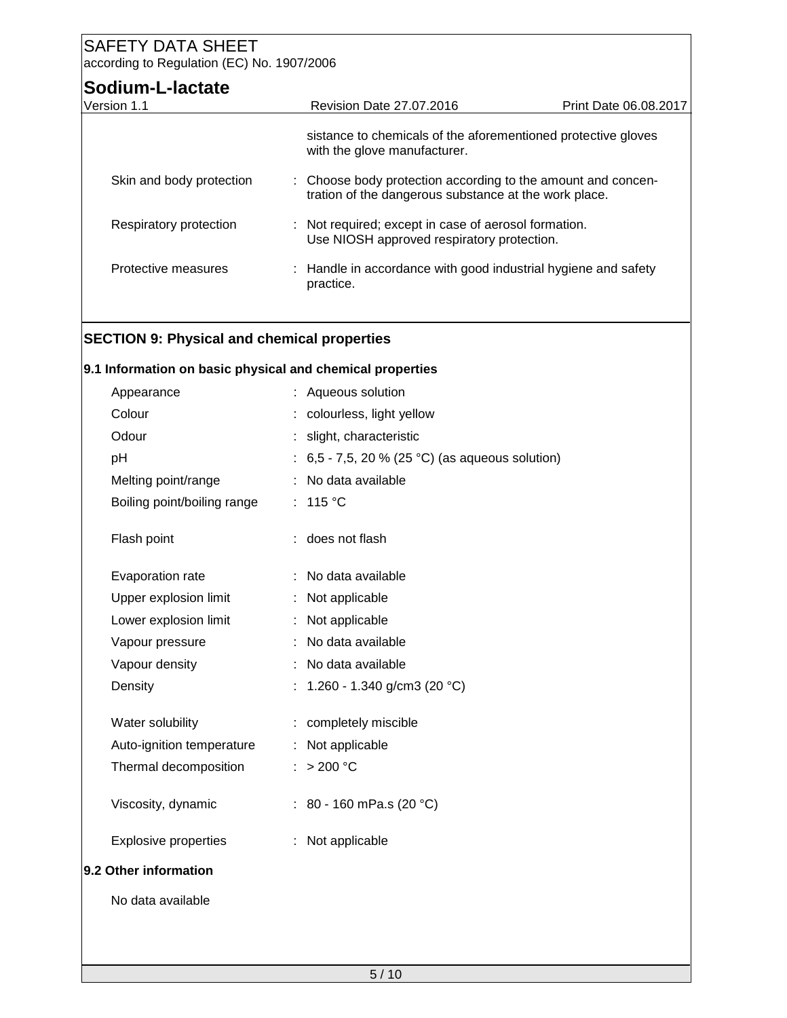| Revision Date 27.07.2016                                                                                              | Print Date 06.08.2017                                         |
|-----------------------------------------------------------------------------------------------------------------------|---------------------------------------------------------------|
| with the glove manufacturer.                                                                                          | sistance to chemicals of the aforementioned protective gloves |
| : Choose body protection according to the amount and concen-<br>tration of the dangerous substance at the work place. |                                                               |
| : Not required; except in case of aerosol formation.<br>Use NIOSH approved respiratory protection.                    |                                                               |
| : Handle in accordance with good industrial hygiene and safety<br>practice.                                           |                                                               |
|                                                                                                                       |                                                               |

#### **SECTION 9: Physical and chemical properties**

#### **9.1 Information on basic physical and chemical properties**

| Appearance                  |    | Aqueous solution                              |
|-----------------------------|----|-----------------------------------------------|
| Colour                      | t. | colourless, light yellow                      |
| Odour                       | t. | slight, characteristic                        |
| pH                          | ÷. | 6,5 - 7,5, 20 % (25 °C) (as aqueous solution) |
| Melting point/range         | ÷. | No data available                             |
| Boiling point/boiling range |    | : 115 °C                                      |
| Flash point                 |    | does not flash                                |
| Evaporation rate            |    | : No data available                           |
| Upper explosion limit       |    | : Not applicable                              |
| Lower explosion limit       | ÷  | Not applicable                                |
| Vapour pressure             |    | No data available                             |
| Vapour density              | ÷. | No data available                             |
| Density                     |    | 1.260 - 1.340 g/cm3 (20 °C)                   |
| Water solubility            |    | completely miscible                           |
| Auto-ignition temperature   | ÷. | Not applicable                                |
| Thermal decomposition       | ÷. | >200 °C                                       |
| Viscosity, dynamic          |    | : 80 - 160 mPa.s (20 °C)                      |
| <b>Explosive properties</b> |    | : Not applicable                              |
| 9.2 Other information       |    |                                               |
| No data available           |    |                                               |
|                             |    |                                               |
|                             |    |                                               |
|                             |    |                                               |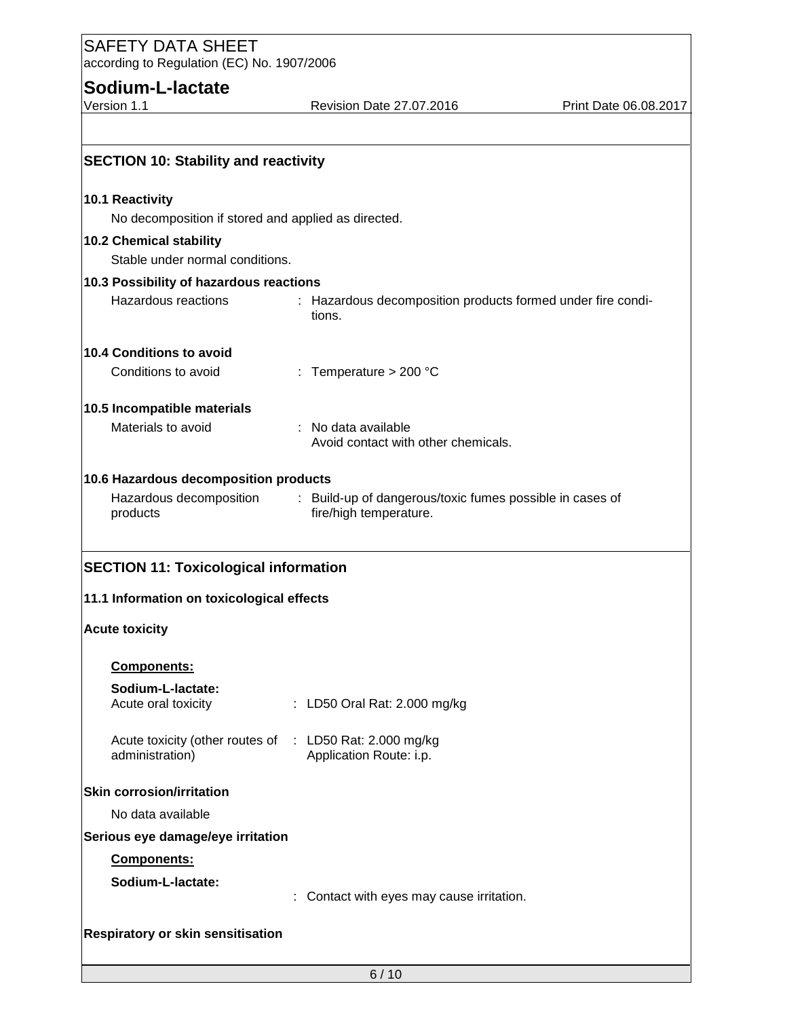**Sodium-L-lactate**<br>Version 1.1

Revision Date 27.07.2016 Print Date 06.08.2017

| <b>SECTION 10: Stability and reactivity</b>                                |                                                                                  |  |  |  |  |  |
|----------------------------------------------------------------------------|----------------------------------------------------------------------------------|--|--|--|--|--|
| 10.1 Reactivity                                                            |                                                                                  |  |  |  |  |  |
|                                                                            | No decomposition if stored and applied as directed.                              |  |  |  |  |  |
| 10.2 Chemical stability                                                    |                                                                                  |  |  |  |  |  |
| Stable under normal conditions.                                            |                                                                                  |  |  |  |  |  |
| 10.3 Possibility of hazardous reactions                                    |                                                                                  |  |  |  |  |  |
| Hazardous reactions                                                        | : Hazardous decomposition products formed under fire condi-<br>tions.            |  |  |  |  |  |
| 10.4 Conditions to avoid                                                   |                                                                                  |  |  |  |  |  |
| Conditions to avoid                                                        | : Temperature $> 200$ °C                                                         |  |  |  |  |  |
| 10.5 Incompatible materials                                                |                                                                                  |  |  |  |  |  |
| Materials to avoid                                                         | No data available<br>Avoid contact with other chemicals.                         |  |  |  |  |  |
| 10.6 Hazardous decomposition products                                      |                                                                                  |  |  |  |  |  |
|                                                                            | Hazardous decomposition : Build-up of dangerous/toxic fumes possible in cases of |  |  |  |  |  |
| products                                                                   | fire/high temperature.                                                           |  |  |  |  |  |
| <b>SECTION 11: Toxicological information</b>                               |                                                                                  |  |  |  |  |  |
| 11.1 Information on toxicological effects                                  |                                                                                  |  |  |  |  |  |
| <b>Acute toxicity</b>                                                      |                                                                                  |  |  |  |  |  |
| <b>Components:</b>                                                         |                                                                                  |  |  |  |  |  |
| Sodium-L-lactate:                                                          |                                                                                  |  |  |  |  |  |
| Acute oral toxicity                                                        | : LD50 Oral Rat: 2.000 mg/kg                                                     |  |  |  |  |  |
| Acute toxicity (other routes of : LD50 Rat: 2.000 mg/kg<br>administration) | Application Route: i.p.                                                          |  |  |  |  |  |
| <b>Skin corrosion/irritation</b>                                           |                                                                                  |  |  |  |  |  |
| No data available                                                          |                                                                                  |  |  |  |  |  |
| Serious eye damage/eye irritation                                          |                                                                                  |  |  |  |  |  |
| Components:                                                                |                                                                                  |  |  |  |  |  |
| Sodium-L-lactate:                                                          |                                                                                  |  |  |  |  |  |
|                                                                            | Contact with eyes may cause irritation.                                          |  |  |  |  |  |
|                                                                            |                                                                                  |  |  |  |  |  |
| <b>Respiratory or skin sensitisation</b>                                   |                                                                                  |  |  |  |  |  |
|                                                                            | 6/10                                                                             |  |  |  |  |  |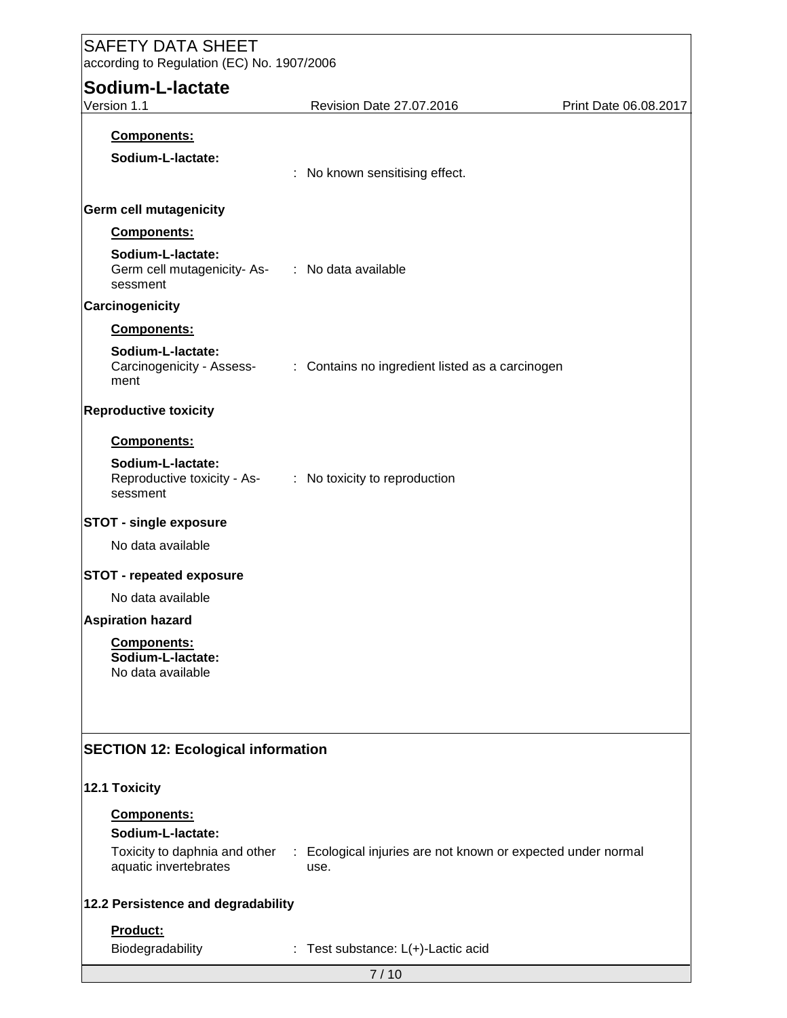| <b>SAFETY DATA SHEET</b>                                                                   |                                    |                                                              |                       |  |  |  |  |  |
|--------------------------------------------------------------------------------------------|------------------------------------|--------------------------------------------------------------|-----------------------|--|--|--|--|--|
| according to Regulation (EC) No. 1907/2006                                                 |                                    |                                                              |                       |  |  |  |  |  |
| Sodium-L-lactate                                                                           |                                    |                                                              |                       |  |  |  |  |  |
| Version 1.1                                                                                | Revision Date 27.07.2016           |                                                              | Print Date 06.08.2017 |  |  |  |  |  |
| Components:                                                                                |                                    |                                                              |                       |  |  |  |  |  |
| Sodium-L-lactate:                                                                          |                                    |                                                              |                       |  |  |  |  |  |
|                                                                                            | : No known sensitising effect.     |                                                              |                       |  |  |  |  |  |
| <b>Germ cell mutagenicity</b>                                                              |                                    |                                                              |                       |  |  |  |  |  |
| Components:                                                                                |                                    |                                                              |                       |  |  |  |  |  |
| Sodium-L-lactate:<br>Germ cell mutagenicity-As- : No data available<br>sessment            |                                    |                                                              |                       |  |  |  |  |  |
| Carcinogenicity                                                                            |                                    |                                                              |                       |  |  |  |  |  |
| Components:                                                                                |                                    |                                                              |                       |  |  |  |  |  |
| Sodium-L-lactate:<br>Carcinogenicity - Assess-<br>ment                                     |                                    | : Contains no ingredient listed as a carcinogen              |                       |  |  |  |  |  |
| <b>Reproductive toxicity</b>                                                               |                                    |                                                              |                       |  |  |  |  |  |
| Components:                                                                                |                                    |                                                              |                       |  |  |  |  |  |
| Sodium-L-lactate:<br>Reproductive toxicity - As- : No toxicity to reproduction<br>sessment |                                    |                                                              |                       |  |  |  |  |  |
| <b>STOT - single exposure</b>                                                              |                                    |                                                              |                       |  |  |  |  |  |
| No data available                                                                          |                                    |                                                              |                       |  |  |  |  |  |
| <b>STOT - repeated exposure</b>                                                            |                                    |                                                              |                       |  |  |  |  |  |
| No data available                                                                          |                                    |                                                              |                       |  |  |  |  |  |
| <b>Aspiration hazard</b>                                                                   |                                    |                                                              |                       |  |  |  |  |  |
| Components:<br>Sodium-L-lactate:<br>No data available                                      |                                    |                                                              |                       |  |  |  |  |  |
| <b>SECTION 12: Ecological information</b>                                                  |                                    |                                                              |                       |  |  |  |  |  |
|                                                                                            |                                    |                                                              |                       |  |  |  |  |  |
| 12.1 Toxicity                                                                              |                                    |                                                              |                       |  |  |  |  |  |
| Components:                                                                                |                                    |                                                              |                       |  |  |  |  |  |
| Sodium-L-lactate:                                                                          |                                    |                                                              |                       |  |  |  |  |  |
| Toxicity to daphnia and other<br>aquatic invertebrates                                     | use.                               | : Ecological injuries are not known or expected under normal |                       |  |  |  |  |  |
| 12.2 Persistence and degradability                                                         |                                    |                                                              |                       |  |  |  |  |  |
| Product:                                                                                   |                                    |                                                              |                       |  |  |  |  |  |
| Biodegradability                                                                           | : Test substance: L(+)-Lactic acid |                                                              |                       |  |  |  |  |  |
|                                                                                            | 7/10                               |                                                              |                       |  |  |  |  |  |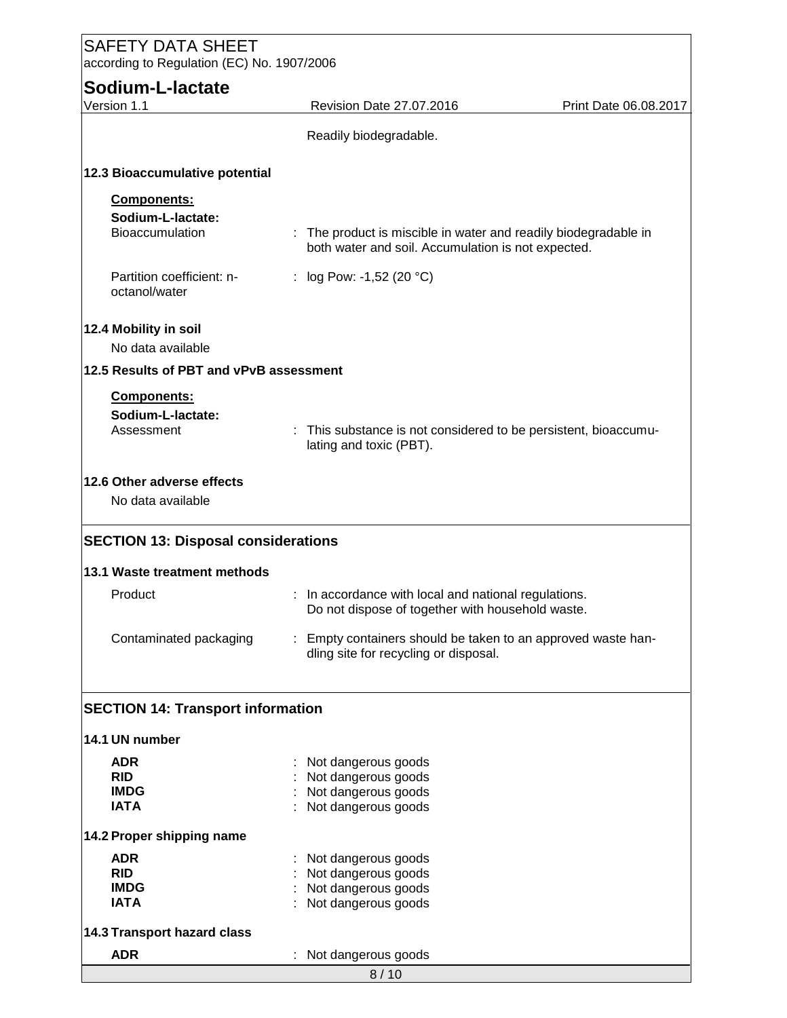| <b>SAFETY DATA SHEET</b><br>according to Regulation (EC) No. 1907/2006 |  |                                                                                                                       |                       |  |  |  |
|------------------------------------------------------------------------|--|-----------------------------------------------------------------------------------------------------------------------|-----------------------|--|--|--|
| Sodium-L-lactate<br>Version 1.1                                        |  | Revision Date 27.07.2016                                                                                              | Print Date 06.08.2017 |  |  |  |
|                                                                        |  | Readily biodegradable.                                                                                                |                       |  |  |  |
| 12.3 Bioaccumulative potential                                         |  |                                                                                                                       |                       |  |  |  |
| Components:<br>Sodium-L-lactate:<br><b>Bioaccumulation</b>             |  | : The product is miscible in water and readily biodegradable in<br>both water and soil. Accumulation is not expected. |                       |  |  |  |
| Partition coefficient: n-<br>octanol/water                             |  | : $log Pow: -1,52 (20 °C)$                                                                                            |                       |  |  |  |
| 12.4 Mobility in soil<br>No data available                             |  |                                                                                                                       |                       |  |  |  |
| 12.5 Results of PBT and vPvB assessment                                |  |                                                                                                                       |                       |  |  |  |
| Components:<br>Sodium-L-lactate:<br>Assessment                         |  | : This substance is not considered to be persistent, bioaccumu-<br>lating and toxic (PBT).                            |                       |  |  |  |
| 12.6 Other adverse effects<br>No data available                        |  |                                                                                                                       |                       |  |  |  |
| <b>SECTION 13: Disposal considerations</b>                             |  |                                                                                                                       |                       |  |  |  |
| 13.1 Waste treatment methods                                           |  |                                                                                                                       |                       |  |  |  |
| Product                                                                |  | : In accordance with local and national regulations.<br>Do not dispose of together with household waste.              |                       |  |  |  |
| Contaminated packaging                                                 |  | Empty containers should be taken to an approved waste han-<br>dling site for recycling or disposal.                   |                       |  |  |  |
| <b>SECTION 14: Transport information</b>                               |  |                                                                                                                       |                       |  |  |  |
| 14.1 UN number                                                         |  |                                                                                                                       |                       |  |  |  |
| <b>ADR</b><br><b>RID</b><br><b>IMDG</b><br><b>IATA</b>                 |  | Not dangerous goods<br>Not dangerous goods<br>Not dangerous goods<br>Not dangerous goods                              |                       |  |  |  |
| 14.2 Proper shipping name                                              |  |                                                                                                                       |                       |  |  |  |
| <b>ADR</b><br><b>RID</b><br><b>IMDG</b><br><b>IATA</b>                 |  | Not dangerous goods<br>Not dangerous goods<br>Not dangerous goods<br>Not dangerous goods                              |                       |  |  |  |
| <b>14.3 Transport hazard class</b>                                     |  |                                                                                                                       |                       |  |  |  |
| <b>ADR</b>                                                             |  | Not dangerous goods                                                                                                   |                       |  |  |  |
|                                                                        |  | 8/10                                                                                                                  |                       |  |  |  |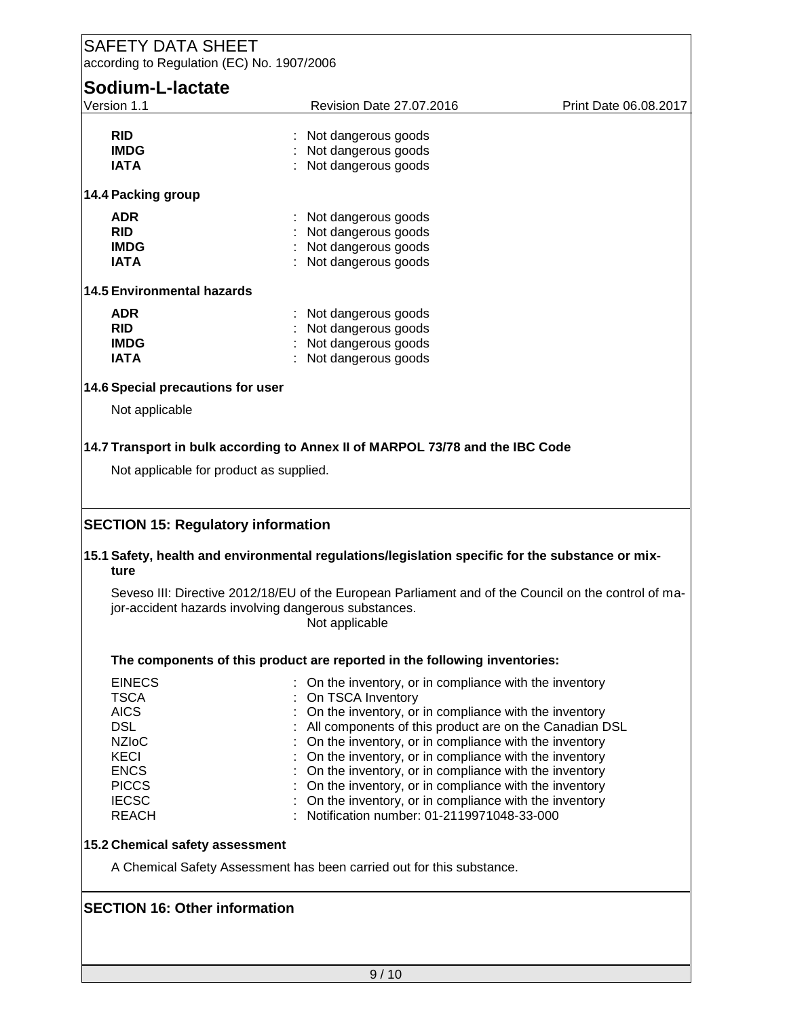### SAFETY DATA SHEET according to Regulation (EC) No. 1907/2006 **Sodium-L-lactate**<br>Version 1.1 Revision Date 27.07.2016 Print Date 06.08.2017 **RID** : Not dangerous goods<br> **IMDG** : Not dangerous goods **IMDG** : Not dangerous goods<br> **IATA** : Not dangerous goods : Not dangerous goods **14.4 Packing group ADR** : Not dangerous goods **RID** : Not dangerous goods **IMDG** : Not dangerous goods **IATA** : Not dangerous goods **14.5 Environmental hazards ADR** : Not dangerous goods **RID** : Not dangerous goods<br> **IMDG** : Not dangerous goods **IMDG** : Not dangerous goods<br> **IATA** : Not dangerous goods : Not dangerous goods **14.6 Special precautions for user** Not applicable **14.7 Transport in bulk according to Annex II of MARPOL 73/78 and the IBC Code** Not applicable for product as supplied. **SECTION 15: Regulatory information 15.1 Safety, health and environmental regulations/legislation specific for the substance or mixture** Seveso III: Directive 2012/18/EU of the European Parliament and of the Council on the control of major-accident hazards involving dangerous substances. Not applicable **The components of this product are reported in the following inventories:** EINECS : On the inventory, or in compliance with the inventory<br>
TSCA : On TSCA Inventory TSCA : On TSCA Inventory<br>AICS : On the inventory, or  $\therefore$  On the inventory, or in compliance with the inventory DSL **EXECUTE:** All components of this product are on the Canadian DSL NZIoC : Con the inventory, or in compliance with the inventory KECI **interest in the inventory** or in compliance with the inventory ENCS : On the inventory, or in compliance with the inventory PICCS : On the inventory, or in compliance with the inventory IECSC : On the inventory, or in compliance with the inventory REACH : Notification number: 01-2119971048-33-000 **15.2 Chemical safety assessment** A Chemical Safety Assessment has been carried out for this substance. **SECTION 16: Other information**